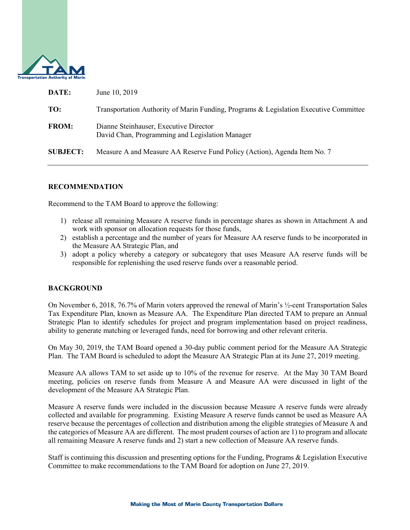

| DATE:           | June 10, 2019                                                                             |
|-----------------|-------------------------------------------------------------------------------------------|
| TO:             | Transportation Authority of Marin Funding, Programs & Legislation Executive Committee     |
| <b>FROM:</b>    | Dianne Steinhauser, Executive Director<br>David Chan, Programming and Legislation Manager |
| <b>SUBJECT:</b> | Measure A and Measure AA Reserve Fund Policy (Action), Agenda Item No. 7                  |

#### **RECOMMENDATION**

Recommend to the TAM Board to approve the following:

- 1) release all remaining Measure A reserve funds in percentage shares as shown in Attachment A and work with sponsor on allocation requests for those funds,
- 2) establish a percentage and the number of years for Measure AA reserve funds to be incorporated in the Measure AA Strategic Plan, and
- 3) adopt a policy whereby a category or subcategory that uses Measure AA reserve funds will be responsible for replenishing the used reserve funds over a reasonable period.

#### **BACKGROUND**

On November 6, 2018, 76.7% of Marin voters approved the renewal of Marin's ½-cent Transportation Sales Tax Expenditure Plan, known as Measure AA. The Expenditure Plan directed TAM to prepare an Annual Strategic Plan to identify schedules for project and program implementation based on project readiness, ability to generate matching or leveraged funds, need for borrowing and other relevant criteria.

On May 30, 2019, the TAM Board opened a 30-day public comment period for the Measure AA Strategic Plan. The TAM Board is scheduled to adopt the Measure AA Strategic Plan at its June 27, 2019 meeting.

Measure AA allows TAM to set aside up to 10% of the revenue for reserve. At the May 30 TAM Board meeting, policies on reserve funds from Measure A and Measure AA were discussed in light of the development of the Measure AA Strategic Plan.

Measure A reserve funds were included in the discussion because Measure A reserve funds were already collected and available for programming. Existing Measure A reserve funds cannot be used as Measure AA reserve because the percentages of collection and distribution among the eligible strategies of Measure A and the categories of Measure AA are different. The most prudent courses of action are 1) to program and allocate all remaining Measure A reserve funds and 2) start a new collection of Measure AA reserve funds.

Staff is continuing this discussion and presenting options for the Funding, Programs & Legislation Executive Committee to make recommendations to the TAM Board for adoption on June 27, 2019.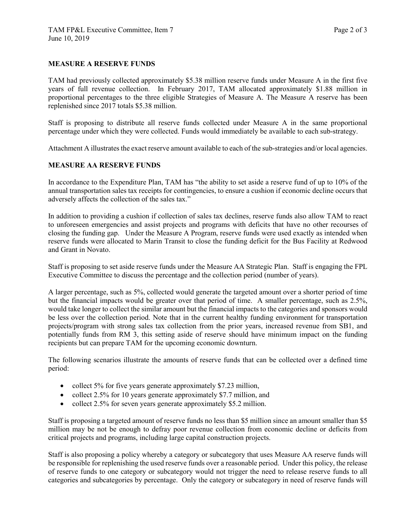### **MEASURE A RESERVE FUNDS**

TAM had previously collected approximately \$5.38 million reserve funds under Measure A in the first five years of full revenue collection. In February 2017, TAM allocated approximately \$1.88 million in proportional percentages to the three eligible Strategies of Measure A. The Measure A reserve has been replenished since 2017 totals \$5.38 million.

Staff is proposing to distribute all reserve funds collected under Measure A in the same proportional percentage under which they were collected. Funds would immediately be available to each sub-strategy.

Attachment A illustrates the exact reserve amount available to each of the sub-strategies and/or local agencies.

# **MEASURE AA RESERVE FUNDS**

In accordance to the Expenditure Plan, TAM has "the ability to set aside a reserve fund of up to 10% of the annual transportation sales tax receipts for contingencies, to ensure a cushion if economic decline occurs that adversely affects the collection of the sales tax."

In addition to providing a cushion if collection of sales tax declines, reserve funds also allow TAM to react to unforeseen emergencies and assist projects and programs with deficits that have no other recourses of closing the funding gap. Under the Measure A Program, reserve funds were used exactly as intended when reserve funds were allocated to Marin Transit to close the funding deficit for the Bus Facility at Redwood and Grant in Novato.

Staff is proposing to set aside reserve funds under the Measure AA Strategic Plan. Staff is engaging the FPL Executive Committee to discuss the percentage and the collection period (number of years).

A larger percentage, such as 5%, collected would generate the targeted amount over a shorter period of time but the financial impacts would be greater over that period of time. A smaller percentage, such as 2.5%, would take longer to collect the similar amount but the financial impacts to the categories and sponsors would be less over the collection period. Note that in the current healthy funding environment for transportation projects/program with strong sales tax collection from the prior years, increased revenue from SB1, and potentially funds from RM 3, this setting aside of reserve should have minimum impact on the funding recipients but can prepare TAM for the upcoming economic downturn.

The following scenarios illustrate the amounts of reserve funds that can be collected over a defined time period:

- collect 5% for five years generate approximately \$7.23 million,
- collect 2.5% for 10 years generate approximately \$7.7 million, and
- collect 2.5% for seven years generate approximately \$5.2 million.

Staff is proposing a targeted amount of reserve funds no less than \$5 million since an amount smaller than \$5 million may be not be enough to defray poor revenue collection from economic decline or deficits from critical projects and programs, including large capital construction projects.

Staff is also proposing a policy whereby a category or subcategory that uses Measure AA reserve funds will be responsible for replenishing the used reserve funds over a reasonable period. Under this policy, the release of reserve funds to one category or subcategory would not trigger the need to release reserve funds to all categories and subcategories by percentage. Only the category or subcategory in need of reserve funds will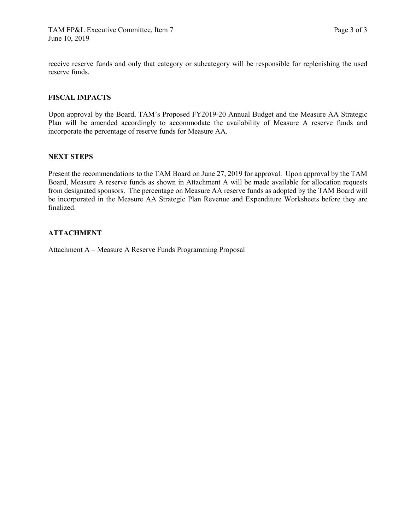receive reserve funds and only that category or subcategory will be responsible for replenishing the used reserve funds.

### **FISCAL IMPACTS**

Upon approval by the Board, TAM's Proposed FY2019-20 Annual Budget and the Measure AA Strategic Plan will be amended accordingly to accommodate the availability of Measure A reserve funds and incorporate the percentage of reserve funds for Measure AA.

### **NEXT STEPS**

Present the recommendations to the TAM Board on June 27, 2019 for approval. Upon approval by the TAM Board, Measure A reserve funds as shown in Attachment A will be made available for allocation requests from designated sponsors. The percentage on Measure AA reserve funds as adopted by the TAM Board will be incorporated in the Measure AA Strategic Plan Revenue and Expenditure Worksheets before they are finalized.

# **ATTACHMENT**

Attachment A – Measure A Reserve Funds Programming Proposal